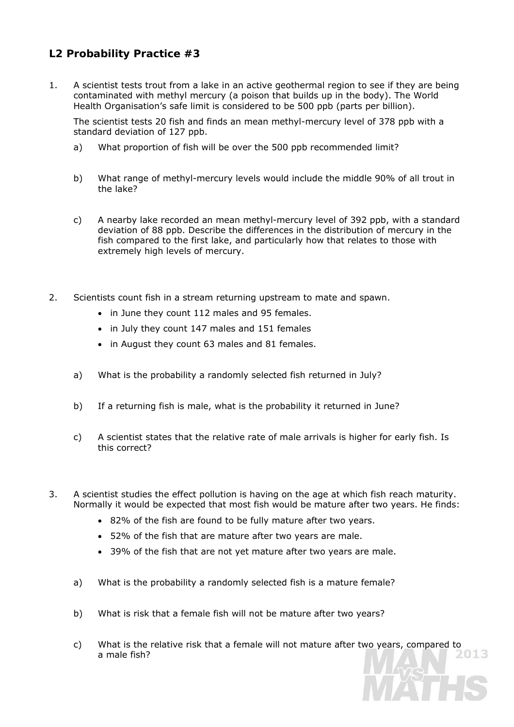## **L2 Probability Practice #3**

1. A scientist tests trout from a lake in an active geothermal region to see if they are being contaminated with methyl mercury (a poison that builds up in the body). The World Health Organisation's safe limit is considered to be 500 ppb (parts per billion).

 The scientist tests 20 fish and finds an mean methyl-mercury level of 378 ppb with a standard deviation of 127 ppb.

- a) What proportion of fish will be over the 500 ppb recommended limit?
- b) What range of methyl-mercury levels would include the middle 90% of all trout in the lake?
- c) A nearby lake recorded an mean methyl-mercury level of 392 ppb, with a standard deviation of 88 ppb. Describe the differences in the distribution of mercury in the fish compared to the first lake, and particularly how that relates to those with extremely high levels of mercury.
- 2. Scientists count fish in a stream returning upstream to mate and spawn.
	- in June they count 112 males and 95 females.
	- in July they count 147 males and 151 females
	- in August they count 63 males and 81 females.
	- a) What is the probability a randomly selected fish returned in July?
	- b) If a returning fish is male, what is the probability it returned in June?
	- c) A scientist states that the relative rate of male arrivals is higher for early fish. Is this correct?
- 3. A scientist studies the effect pollution is having on the age at which fish reach maturity. Normally it would be expected that most fish would be mature after two years. He finds:
	- 82% of the fish are found to be fully mature after two years.
	- 52% of the fish that are mature after two years are male.
	- 39% of the fish that are not yet mature after two years are male.
	- a) What is the probability a randomly selected fish is a mature female?
	- b) What is risk that a female fish will not be mature after two years?
	- c) What is the relative risk that a female will not mature after two years, compared to a male fish? a male fish?

TE